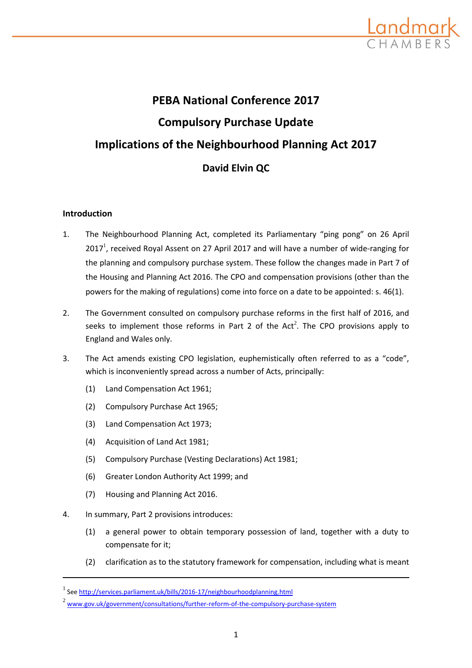

# **PEBA National Conference 2017 Compulsory Purchase Update Implications of the Neighbourhood Planning Act 2017 David Elvin QC**

# **Introduction**

- 1. The Neighbourhood Planning Act, completed its Parliamentary "ping pong" on 26 April 2017<sup>1</sup>, received Royal Assent on 27 April 2017 and will have a number of wide-ranging for the planning and compulsory purchase system. These follow the changes made in Part 7 of the Housing and Planning Act 2016. The CPO and compensation provisions (other than the powers for the making of regulations) come into force on a date to be appointed: s. 46(1).
- 2. The Government consulted on compulsory purchase reforms in the first half of 2016, and seeks to implement those reforms in Part 2 of the Act<sup>2</sup>. The CPO provisions apply to England and Wales only.
- 3. The Act amends existing CPO legislation, euphemistically often referred to as a "code", which is inconveniently spread across a number of Acts, principally:
	- (1) Land Compensation Act 1961;
	- (2) Compulsory Purchase Act 1965;
	- (3) Land Compensation Act 1973;
	- (4) Acquisition of Land Act 1981;
	- (5) Compulsory Purchase (Vesting Declarations) Act 1981;
	- (6) Greater London Authority Act 1999; and
	- (7) Housing and Planning Act 2016.
- 4. In summary, Part 2 provisions introduces:
	- (1) a general power to obtain temporary possession of land, together with a duty to compensate for it;
	- (2) clarification as to the statutory framework for compensation, including what is meant

<sup>&</sup>lt;sup>1</sup> See<http://services.parliament.uk/bills/2016-17/neighbourhoodplanning.html>

<sup>&</sup>lt;sup>2</sup> [www.gov.uk/government/consultations/further-reform-of-the-compulsory-purchase-system](http://www.gov.uk/government/consultations/further-reform-of-the-compulsory-purchase-system)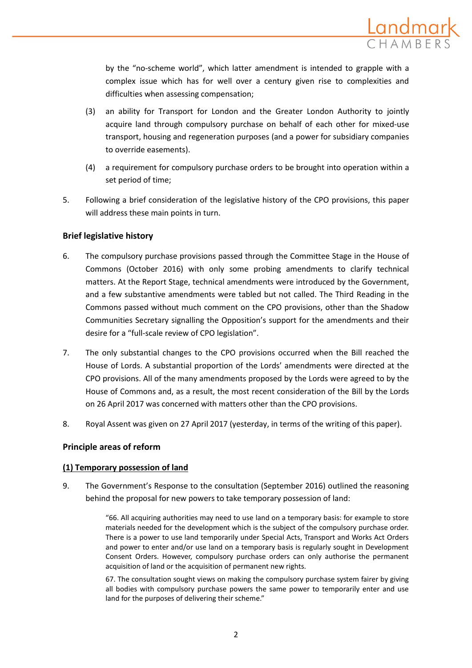

by the "no-scheme world", which latter amendment is intended to grapple with a complex issue which has for well over a century given rise to complexities and difficulties when assessing compensation;

- (3) an ability for Transport for London and the Greater London Authority to jointly acquire land through compulsory purchase on behalf of each other for mixed-use transport, housing and regeneration purposes (and a power for subsidiary companies to override easements).
- (4) a requirement for compulsory purchase orders to be brought into operation within a set period of time;
- 5. Following a brief consideration of the legislative history of the CPO provisions, this paper will address these main points in turn.

# **Brief legislative history**

- 6. The compulsory purchase provisions passed through the Committee Stage in the House of Commons (October 2016) with only some probing amendments to clarify technical matters. At the Report Stage, technical amendments were introduced by the Government, and a few substantive amendments were tabled but not called. The Third Reading in the Commons passed without much comment on the CPO provisions, other than the Shadow Communities Secretary signalling the Opposition's support for the amendments and their desire for a "full-scale review of CPO legislation".
- 7. The only substantial changes to the CPO provisions occurred when the Bill reached the House of Lords. A substantial proportion of the Lords' amendments were directed at the CPO provisions. All of the many amendments proposed by the Lords were agreed to by the House of Commons and, as a result, the most recent consideration of the Bill by the Lords on 26 April 2017 was concerned with matters other than the CPO provisions.
- 8. Royal Assent was given on 27 April 2017 (yesterday, in terms of the writing of this paper).

# **Principle areas of reform**

# **(1) Temporary possession of land**

9. The Government's Response to the consultation (September 2016) outlined the reasoning behind the proposal for new powers to take temporary possession of land:

> "66. All acquiring authorities may need to use land on a temporary basis: for example to store materials needed for the development which is the subject of the compulsory purchase order. There is a power to use land temporarily under Special Acts, Transport and Works Act Orders and power to enter and/or use land on a temporary basis is regularly sought in Development Consent Orders. However, compulsory purchase orders can only authorise the permanent acquisition of land or the acquisition of permanent new rights.

> 67. The consultation sought views on making the compulsory purchase system fairer by giving all bodies with compulsory purchase powers the same power to temporarily enter and use land for the purposes of delivering their scheme."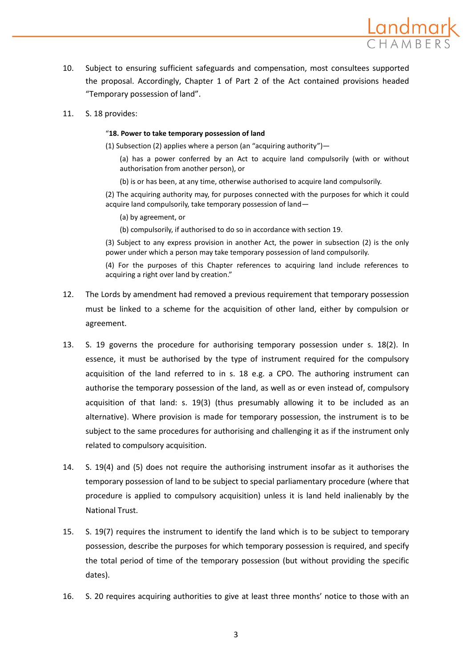

10. Subject to ensuring sufficient safeguards and compensation, most consultees supported the proposal. Accordingly, Chapter 1 of Part 2 of the Act contained provisions headed "Temporary possession of land".

## 11. S. 18 provides:

#### "**18. Power to take temporary possession of land**

(1) Subsection (2) applies where a person (an "acquiring authority")—

(a) has a power conferred by an Act to acquire land compulsorily (with or without authorisation from another person), or

(b) is or has been, at any time, otherwise authorised to acquire land compulsorily.

(2) The acquiring authority may, for purposes connected with the purposes for which it could acquire land compulsorily, take temporary possession of land—

- (a) by agreement, or
- (b) compulsorily, if authorised to do so in accordance with section 19.

(3) Subject to any express provision in another Act, the power in subsection (2) is the only power under which a person may take temporary possession of land compulsorily.

(4) For the purposes of this Chapter references to acquiring land include references to acquiring a right over land by creation."

- 12. The Lords by amendment had removed a previous requirement that temporary possession must be linked to a scheme for the acquisition of other land, either by compulsion or agreement.
- 13. S. 19 governs the procedure for authorising temporary possession under s. 18(2). In essence, it must be authorised by the type of instrument required for the compulsory acquisition of the land referred to in s. 18 e.g. a CPO. The authoring instrument can authorise the temporary possession of the land, as well as or even instead of, compulsory acquisition of that land: s. 19(3) (thus presumably allowing it to be included as an alternative). Where provision is made for temporary possession, the instrument is to be subject to the same procedures for authorising and challenging it as if the instrument only related to compulsory acquisition.
- 14. S. 19(4) and (5) does not require the authorising instrument insofar as it authorises the temporary possession of land to be subject to special parliamentary procedure (where that procedure is applied to compulsory acquisition) unless it is land held inalienably by the National Trust.
- 15. S. 19(7) requires the instrument to identify the land which is to be subject to temporary possession, describe the purposes for which temporary possession is required, and specify the total period of time of the temporary possession (but without providing the specific dates).
- 16. S. 20 requires acquiring authorities to give at least three months' notice to those with an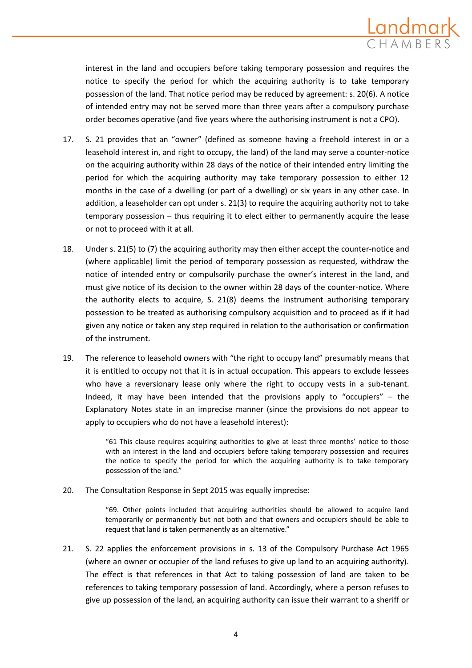

interest in the land and occupiers before taking temporary possession and requires the notice to specify the period for which the acquiring authority is to take temporary possession of the land. That notice period may be reduced by agreement: s. 20(6). A notice of intended entry may not be served more than three years after a compulsory purchase order becomes operative (and five years where the authorising instrument is not a CPO).

- 17. S. 21 provides that an "owner" (defined as someone having a freehold interest in or a leasehold interest in, and right to occupy, the land) of the land may serve a counter-notice on the acquiring authority within 28 days of the notice of their intended entry limiting the period for which the acquiring authority may take temporary possession to either 12 months in the case of a dwelling (or part of a dwelling) or six years in any other case. In addition, a leaseholder can opt under s. 21(3) to require the acquiring authority not to take temporary possession – thus requiring it to elect either to permanently acquire the lease or not to proceed with it at all.
- 18. Under s. 21(5) to (7) the acquiring authority may then either accept the counter-notice and (where applicable) limit the period of temporary possession as requested, withdraw the notice of intended entry or compulsorily purchase the owner's interest in the land, and must give notice of its decision to the owner within 28 days of the counter-notice. Where the authority elects to acquire, S. 21(8) deems the instrument authorising temporary possession to be treated as authorising compulsory acquisition and to proceed as if it had given any notice or taken any step required in relation to the authorisation or confirmation of the instrument.
- 19. The reference to leasehold owners with "the right to occupy land" presumably means that it is entitled to occupy not that it is in actual occupation. This appears to exclude lessees who have a reversionary lease only where the right to occupy vests in a sub-tenant. Indeed, it may have been intended that the provisions apply to "occupiers"  $-$  the Explanatory Notes state in an imprecise manner (since the provisions do not appear to apply to occupiers who do not have a leasehold interest):

"61 This clause requires acquiring authorities to give at least three months' notice to those with an interest in the land and occupiers before taking temporary possession and requires the notice to specify the period for which the acquiring authority is to take temporary possession of the land."

20. The Consultation Response in Sept 2015 was equally imprecise:

"69. Other points included that acquiring authorities should be allowed to acquire land temporarily or permanently but not both and that owners and occupiers should be able to request that land is taken permanently as an alternative."

21. S. 22 applies the enforcement provisions in s. 13 of the Compulsory Purchase Act 1965 (where an owner or occupier of the land refuses to give up land to an acquiring authority). The effect is that references in that Act to taking possession of land are taken to be references to taking temporary possession of land. Accordingly, where a person refuses to give up possession of the land, an acquiring authority can issue their warrant to a sheriff or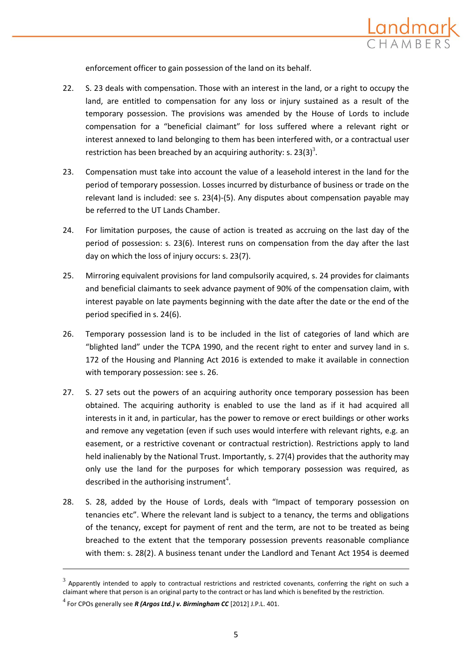

enforcement officer to gain possession of the land on its behalf.

- 22. S. 23 deals with compensation. Those with an interest in the land, or a right to occupy the land, are entitled to compensation for any loss or injury sustained as a result of the temporary possession. The provisions was amended by the House of Lords to include compensation for a "beneficial claimant" for loss suffered where a relevant right or interest annexed to land belonging to them has been interfered with, or a contractual user restriction has been breached by an acquiring authority: s. 23(3)<sup>3</sup>.
- 23. Compensation must take into account the value of a leasehold interest in the land for the period of temporary possession. Losses incurred by disturbance of business or trade on the relevant land is included: see s. 23(4)-(5). Any disputes about compensation payable may be referred to the UT Lands Chamber.
- 24. For limitation purposes, the cause of action is treated as accruing on the last day of the period of possession: s. 23(6). Interest runs on compensation from the day after the last day on which the loss of injury occurs: s. 23(7).
- 25. Mirroring equivalent provisions for land compulsorily acquired, s. 24 provides for claimants and beneficial claimants to seek advance payment of 90% of the compensation claim, with interest payable on late payments beginning with the date after the date or the end of the period specified in s. 24(6).
- 26. Temporary possession land is to be included in the list of categories of land which are "blighted land" under the TCPA 1990, and the recent right to enter and survey land in s. 172 of the Housing and Planning Act 2016 is extended to make it available in connection with temporary possession: see s. 26.
- 27. S. 27 sets out the powers of an acquiring authority once temporary possession has been obtained. The acquiring authority is enabled to use the land as if it had acquired all interests in it and, in particular, has the power to remove or erect buildings or other works and remove any vegetation (even if such uses would interfere with relevant rights, e.g. an easement, or a restrictive covenant or contractual restriction). Restrictions apply to land held inalienably by the National Trust. Importantly, s. 27(4) provides that the authority may only use the land for the purposes for which temporary possession was required, as described in the authorising instrument<sup>4</sup>.
- 28. S. 28, added by the House of Lords, deals with "Impact of temporary possession on tenancies etc". Where the relevant land is subject to a tenancy, the terms and obligations of the tenancy, except for payment of rent and the term, are not to be treated as being breached to the extent that the temporary possession prevents reasonable compliance with them: s. 28(2). A business tenant under the Landlord and Tenant Act 1954 is deemed

 $^3$  Apparently intended to apply to contractual restrictions and restricted covenants, conferring the right on such a claimant where that person is an original party to the contract or has land which is benefited by the restriction.

<sup>4</sup> For CPOs generally see *R (Argos Ltd.) v. Birmingham CC* [2012] J.P.L. 401.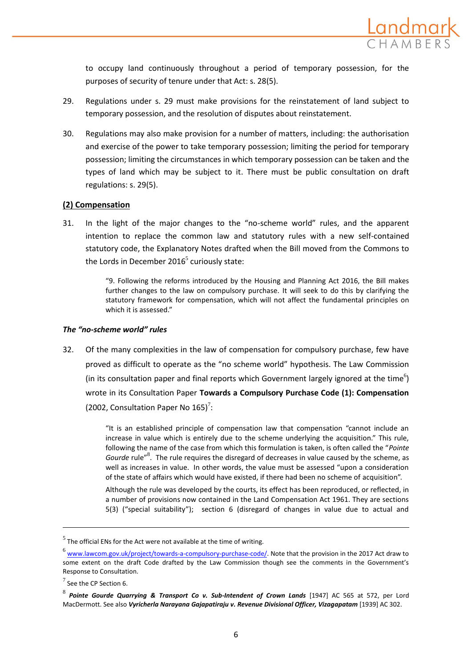to occupy land continuously throughout a period of temporary possession, for the purposes of security of tenure under that Act: s. 28(5).

- 29. Regulations under s. 29 must make provisions for the reinstatement of land subject to temporary possession, and the resolution of disputes about reinstatement.
- 30. Regulations may also make provision for a number of matters, including: the authorisation and exercise of the power to take temporary possession; limiting the period for temporary possession; limiting the circumstances in which temporary possession can be taken and the types of land which may be subject to it. There must be public consultation on draft regulations: s. 29(5).

# **(2) Compensation**

31. In the light of the major changes to the "no-scheme world" rules, and the apparent intention to replace the common law and statutory rules with a new self-contained statutory code, the Explanatory Notes drafted when the Bill moved from the Commons to the Lords in December 2016<sup>5</sup> curiously state:

> "9. Following the reforms introduced by the Housing and Planning Act 2016, the Bill makes further changes to the law on compulsory purchase. It will seek to do this by clarifying the statutory framework for compensation, which will not affect the fundamental principles on which it is assessed."

# *The "no-scheme world" rules*

32. Of the many complexities in the law of compensation for compulsory purchase, few have proved as difficult to operate as the "no scheme world" hypothesis. The Law Commission (in its consultation paper and final reports which Government largely ignored at the time<sup>6</sup>) wrote in its Consultation Paper **Towards a Compulsory Purchase Code (1): Compensation**  (2002, Consultation Paper No  $165$ )<sup>7</sup>:

> "It is an established principle of compensation law that compensation "cannot include an increase in value which is entirely due to the scheme underlying the acquisition." This rule, following the name of the case from which this formulation is taken, is often called the "*Pointe*  Gourde rule"<sup>8</sup>. The rule requires the disregard of decreases in value caused by the scheme, as well as increases in value. In other words, the value must be assessed "upon a consideration of the state of affairs which would have existed, if there had been no scheme of acquisition".

> Although the rule was developed by the courts, its effect has been reproduced, or reflected, in a number of provisions now contained in the Land Compensation Act 1961. They are sections 5(3) ("special suitability"); section 6 (disregard of changes in value due to actual and

 $<sup>5</sup>$  The official ENs for the Act were not available at the time of writing.</sup>

<sup>&</sup>lt;sup>6</sup> [www.lawcom.gov.uk/project/towards-a-compulsory-purchase-code/.](http://www.lawcom.gov.uk/project/towards-a-compulsory-purchase-code/) Note that the provision in the 2017 Act draw to some extent on the draft Code drafted by the Law Commission though see the comments in the Government's Response to Consultation.

 $^7$  See the CP Section 6.

<sup>8</sup> *Pointe Gourde Quarrying & Transport Co v. Sub-Intendent of Crown Lands* [1947] AC 565 at 572, per Lord MacDermott. See also *Vyricherla Narayana Gajapatiraju v. Revenue Divisional Officer, Vizagapatam* [1939] AC 302.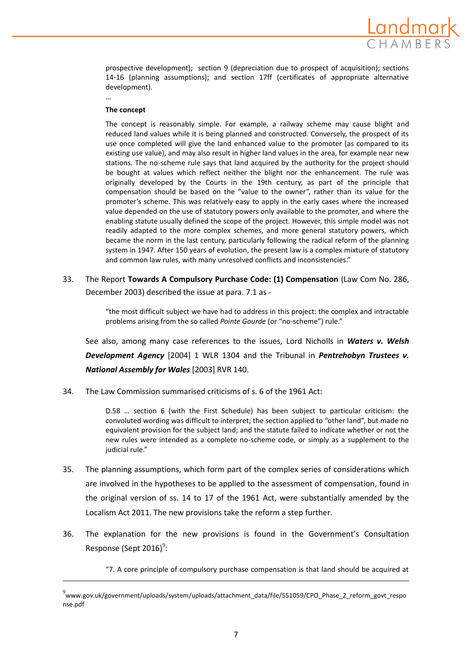

prospective development); section 9 (depreciation due to prospect of acquisition); sections 14-16 (planning assumptions); and section 17ff (certificates of appropriate alternative development).

#### **The concept**

…

 $\overline{\phantom{a}}$ 

The concept is reasonably simple. For example, a railway scheme may cause blight and reduced land values while it is being planned and constructed. Conversely, the prospect of its use once completed will give the land enhanced value to the promoter (as compared to its existing use value), and may also result in higher land values in the area, for example near new stations. The no-scheme rule says that land acquired by the authority for the project should be bought at values which reflect neither the blight nor the enhancement. The rule was originally developed by the Courts in the 19th century, as part of the principle that compensation should be based on the "value to the owner", rather than its value for the promoter's scheme. This was relatively easy to apply in the early cases where the increased value depended on the use of statutory powers only available to the promoter, and where the enabling statute usually defined the scope of the project. However, this simple model was not readily adapted to the more complex schemes, and more general statutory powers, which became the norm in the last century, particularly following the radical reform of the planning system in 1947. After 150 years of evolution, the present law is a complex mixture of statutory and common law rules, with many unresolved conflicts and inconsistencies."

33. The Report **Towards A Compulsory Purchase Code: (1) Compensation** (Law Com No. 286, December 2003) described the issue at para. 7.1 as -

> "the most difficult subject we have had to address in this project: the complex and intractable problems arising from the so called *Pointe Gourde* (or "no-scheme") rule."

See also, among many case references to the issues, Lord Nicholls in *Waters v. Welsh Development Agency* [2004] 1 WLR 1304 and the Tribunal in *Pentrehobyn Trustees v. National Assembly for Wales* [2003] RVR 140.

34. The Law Commission summarised criticisms of s. 6 of the 1961 Act:

D.58 … section 6 (with the First Schedule) has been subject to particular criticism: the convoluted wording was difficult to interpret; the section applied to "other land", but made no equivalent provision for the subject land; and the statute failed to indicate whether or not the new rules were intended as a complete no-scheme code, or simply as a supplement to the judicial rule."

- 35. The planning assumptions, which form part of the complex series of considerations which are involved in the hypotheses to be applied to the assessment of compensation, found in the original version of ss. 14 to 17 of the 1961 Act, were substantially amended by the Localism Act 2011. The new provisions take the reform a step further.
- 36. The explanation for the new provisions is found in the Government's Consultation Response (Sept 2016)<sup>9</sup>:

"7. A core principle of compulsory purchase compensation is that land should be acquired at

<sup>9</sup> www.gov.uk/government/uploads/system/uploads/attachment\_data/file/551059/CPO\_Phase\_2\_reform\_govt\_respo nse.pdf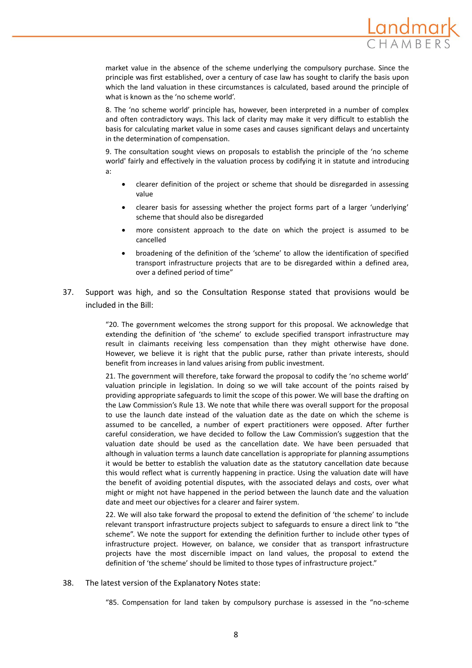

market value in the absence of the scheme underlying the compulsory purchase. Since the principle was first established, over a century of case law has sought to clarify the basis upon which the land valuation in these circumstances is calculated, based around the principle of what is known as the 'no scheme world'.

8. The 'no scheme world' principle has, however, been interpreted in a number of complex and often contradictory ways. This lack of clarity may make it very difficult to establish the basis for calculating market value in some cases and causes significant delays and uncertainty in the determination of compensation.

9. The consultation sought views on proposals to establish the principle of the 'no scheme world' fairly and effectively in the valuation process by codifying it in statute and introducing a:

- clearer definition of the project or scheme that should be disregarded in assessing value
- clearer basis for assessing whether the project forms part of a larger 'underlying' scheme that should also be disregarded
- more consistent approach to the date on which the project is assumed to be cancelled
- broadening of the definition of the 'scheme' to allow the identification of specified transport infrastructure projects that are to be disregarded within a defined area, over a defined period of time"
- 37. Support was high, and so the Consultation Response stated that provisions would be included in the Bill:

"20. The government welcomes the strong support for this proposal. We acknowledge that extending the definition of 'the scheme' to exclude specified transport infrastructure may result in claimants receiving less compensation than they might otherwise have done. However, we believe it is right that the public purse, rather than private interests, should benefit from increases in land values arising from public investment.

21. The government will therefore, take forward the proposal to codify the 'no scheme world' valuation principle in legislation. In doing so we will take account of the points raised by providing appropriate safeguards to limit the scope of this power. We will base the drafting on the Law Commission's Rule 13. We note that while there was overall support for the proposal to use the launch date instead of the valuation date as the date on which the scheme is assumed to be cancelled, a number of expert practitioners were opposed. After further careful consideration, we have decided to follow the Law Commission's suggestion that the valuation date should be used as the cancellation date. We have been persuaded that although in valuation terms a launch date cancellation is appropriate for planning assumptions it would be better to establish the valuation date as the statutory cancellation date because this would reflect what is currently happening in practice. Using the valuation date will have the benefit of avoiding potential disputes, with the associated delays and costs, over what might or might not have happened in the period between the launch date and the valuation date and meet our objectives for a clearer and fairer system.

22. We will also take forward the proposal to extend the definition of 'the scheme' to include relevant transport infrastructure projects subject to safeguards to ensure a direct link to "the scheme". We note the support for extending the definition further to include other types of infrastructure project. However, on balance, we consider that as transport infrastructure projects have the most discernible impact on land values, the proposal to extend the definition of 'the scheme' should be limited to those types of infrastructure project."

38. The latest version of the Explanatory Notes state:

"85. Compensation for land taken by compulsory purchase is assessed in the "no-scheme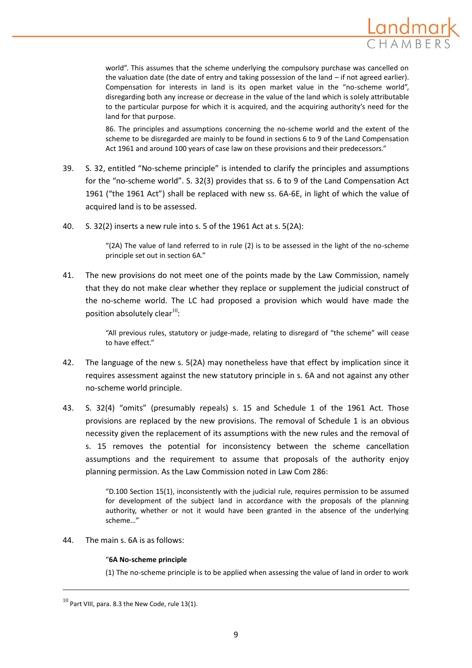

world". This assumes that the scheme underlying the compulsory purchase was cancelled on the valuation date (the date of entry and taking possession of the land – if not agreed earlier). Compensation for interests in land is its open market value in the "no-scheme world", disregarding both any increase or decrease in the value of the land which is solely attributable to the particular purpose for which it is acquired, and the acquiring authority's need for the land for that purpose.

86. The principles and assumptions concerning the no-scheme world and the extent of the scheme to be disregarded are mainly to be found in sections 6 to 9 of the Land Compensation Act 1961 and around 100 years of case law on these provisions and their predecessors."

- 39. S. 32, entitled "No-scheme principle" is intended to clarify the principles and assumptions for the "no-scheme world". S. 32(3) provides that ss. 6 to 9 of the Land Compensation Act 1961 ("the 1961 Act") shall be replaced with new ss. 6A-6E, in light of which the value of acquired land is to be assessed.
- 40. S. 32(2) inserts a new rule into s. 5 of the 1961 Act at s. 5(2A):

"(2A) The value of land referred to in rule (2) is to be assessed in the light of the no-scheme principle set out in section 6A."

41. The new provisions do not meet one of the points made by the Law Commission, namely that they do not make clear whether they replace or supplement the judicial construct of the no-scheme world. The LC had proposed a provision which would have made the position absolutely clear $^{10}$ :

> "All previous rules, statutory or judge-made, relating to disregard of "the scheme" will cease to have effect."

- 42. The language of the new s. 5(2A) may nonetheless have that effect by implication since it requires assessment against the new statutory principle in s. 6A and not against any other no-scheme world principle.
- 43. S. 32(4) "omits" (presumably repeals) s. 15 and Schedule 1 of the 1961 Act. Those provisions are replaced by the new provisions. The removal of Schedule 1 is an obvious necessity given the replacement of its assumptions with the new rules and the removal of s. 15 removes the potential for inconsistency between the scheme cancellation assumptions and the requirement to assume that proposals of the authority enjoy planning permission. As the Law Commission noted in Law Com 286:

"D.100 Section 15(1), inconsistently with the judicial rule, requires permission to be assumed for development of the subject land in accordance with the proposals of the planning authority, whether or not it would have been granted in the absence of the underlying scheme…"

44. The main s. 6A is as follows:

## "**6A No-scheme principle**

(1) The no-scheme principle is to be applied when assessing the value of land in order to work

 $^{10}$  Part VIII, para. 8.3 the New Code, rule 13(1).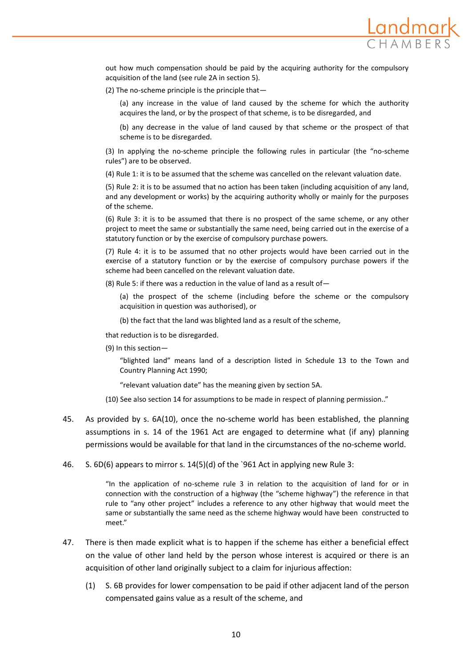

out how much compensation should be paid by the acquiring authority for the compulsory acquisition of the land (see rule 2A in section 5).

(2) The no-scheme principle is the principle that—

(a) any increase in the value of land caused by the scheme for which the authority acquires the land, or by the prospect of that scheme, is to be disregarded, and

(b) any decrease in the value of land caused by that scheme or the prospect of that scheme is to be disregarded.

(3) In applying the no-scheme principle the following rules in particular (the "no-scheme rules") are to be observed.

(4) Rule 1: it is to be assumed that the scheme was cancelled on the relevant valuation date.

(5) Rule 2: it is to be assumed that no action has been taken (including acquisition of any land, and any development or works) by the acquiring authority wholly or mainly for the purposes of the scheme.

(6) Rule 3: it is to be assumed that there is no prospect of the same scheme, or any other project to meet the same or substantially the same need, being carried out in the exercise of a statutory function or by the exercise of compulsory purchase powers.

(7) Rule 4: it is to be assumed that no other projects would have been carried out in the exercise of a statutory function or by the exercise of compulsory purchase powers if the scheme had been cancelled on the relevant valuation date.

(8) Rule 5: if there was a reduction in the value of land as a result of  $-$ 

(a) the prospect of the scheme (including before the scheme or the compulsory acquisition in question was authorised), or

(b) the fact that the land was blighted land as a result of the scheme,

that reduction is to be disregarded.

(9) In this section—

"blighted land" means land of a description listed in Schedule 13 to the Town and Country Planning Act 1990;

"relevant valuation date" has the meaning given by section 5A.

- (10) See also section 14 for assumptions to be made in respect of planning permission.."
- 45. As provided by s. 6A(10), once the no-scheme world has been established, the planning assumptions in s. 14 of the 1961 Act are engaged to determine what (if any) planning permissions would be available for that land in the circumstances of the no-scheme world.
- 46. S. 6D(6) appears to mirror s. 14(5)(d) of the `961 Act in applying new Rule 3:

"In the application of no-scheme rule 3 in relation to the acquisition of land for or in connection with the construction of a highway (the "scheme highway") the reference in that rule to "any other project" includes a reference to any other highway that would meet the same or substantially the same need as the scheme highway would have been constructed to meet."

- 47. There is then made explicit what is to happen if the scheme has either a beneficial effect on the value of other land held by the person whose interest is acquired or there is an acquisition of other land originally subject to a claim for injurious affection:
	- (1) S. 6B provides for lower compensation to be paid if other adjacent land of the person compensated gains value as a result of the scheme, and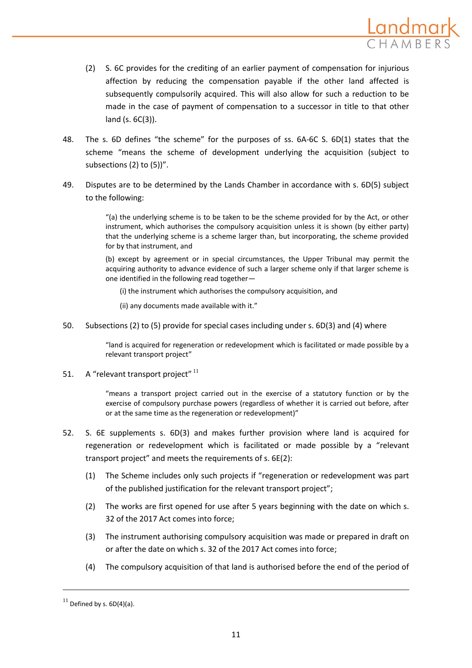

- (2) S. 6C provides for the crediting of an earlier payment of compensation for injurious affection by reducing the compensation payable if the other land affected is subsequently compulsorily acquired. This will also allow for such a reduction to be made in the case of payment of compensation to a successor in title to that other land (s. 6C(3)).
- 48. The s. 6D defines "the scheme" for the purposes of ss. 6A-6C S. 6D(1) states that the scheme "means the scheme of development underlying the acquisition (subject to subsections (2) to (5))".
- 49. Disputes are to be determined by the Lands Chamber in accordance with s. 6D(5) subject to the following:

"(a) the underlying scheme is to be taken to be the scheme provided for by the Act, or other instrument, which authorises the compulsory acquisition unless it is shown (by either party) that the underlying scheme is a scheme larger than, but incorporating, the scheme provided for by that instrument, and

(b) except by agreement or in special circumstances, the Upper Tribunal may permit the acquiring authority to advance evidence of such a larger scheme only if that larger scheme is one identified in the following read together—

(i) the instrument which authorises the compulsory acquisition, and

(ii) any documents made available with it."

50. Subsections (2) to (5) provide for special cases including under s. 6D(3) and (4) where

"land is acquired for regeneration or redevelopment which is facilitated or made possible by a relevant transport project"

51. A "relevant transport project" <sup>11</sup>

"means a transport project carried out in the exercise of a statutory function or by the exercise of compulsory purchase powers (regardless of whether it is carried out before, after or at the same time as the regeneration or redevelopment)"

- 52. S. 6E supplements s. 6D(3) and makes further provision where land is acquired for regeneration or redevelopment which is facilitated or made possible by a "relevant transport project" and meets the requirements of s. 6E(2):
	- (1) The Scheme includes only such projects if "regeneration or redevelopment was part of the published justification for the relevant transport project";
	- (2) The works are first opened for use after 5 years beginning with the date on which s. 32 of the 2017 Act comes into force;
	- (3) The instrument authorising compulsory acquisition was made or prepared in draft on or after the date on which s. 32 of the 2017 Act comes into force;
	- (4) The compulsory acquisition of that land is authorised before the end of the period of

 $11$  Defined by s.  $6D(4)(a)$ .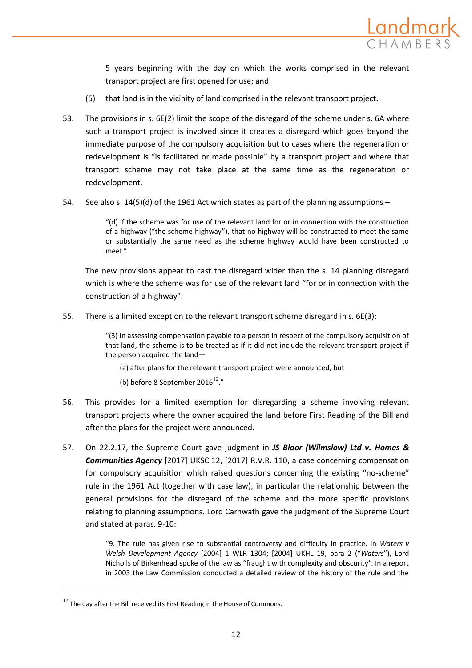

5 years beginning with the day on which the works comprised in the relevant transport project are first opened for use; and

- (5) that land is in the vicinity of land comprised in the relevant transport project.
- 53. The provisions in s. 6E(2) limit the scope of the disregard of the scheme under s. 6A where such a transport project is involved since it creates a disregard which goes beyond the immediate purpose of the compulsory acquisition but to cases where the regeneration or redevelopment is "is facilitated or made possible" by a transport project and where that transport scheme may not take place at the same time as the regeneration or redevelopment.
- 54. See also s.  $14(5)(d)$  of the 1961 Act which states as part of the planning assumptions –

"(d) if the scheme was for use of the relevant land for or in connection with the construction of a highway ("the scheme highway"), that no highway will be constructed to meet the same or substantially the same need as the scheme highway would have been constructed to meet."

The new provisions appear to cast the disregard wider than the s. 14 planning disregard which is where the scheme was for use of the relevant land "for or in connection with the construction of a highway".

55. There is a limited exception to the relevant transport scheme disregard in s. 6E(3):

"(3) In assessing compensation payable to a person in respect of the compulsory acquisition of that land, the scheme is to be treated as if it did not include the relevant transport project if the person acquired the land—

- (a) after plans for the relevant transport project were announced, but
- (b) before 8 September 2016 $^{12}$ ."
- 56. This provides for a limited exemption for disregarding a scheme involving relevant transport projects where the owner acquired the land before First Reading of the Bill and after the plans for the project were announced.
- 57. On 22.2.17, the Supreme Court gave judgment in *JS Bloor (Wilmslow) Ltd v. Homes & Communities Agency* [2017] UKSC 12, [2017] R.V.R. 110, a case concerning compensation for compulsory acquisition which raised questions concerning the existing "no-scheme" rule in the 1961 Act (together with case law), in particular the relationship between the general provisions for the disregard of the scheme and the more specific provisions relating to planning assumptions. Lord Carnwath gave the judgment of the Supreme Court and stated at paras. 9-10:

"9. The rule has given rise to substantial controversy and difficulty in practice. In *Waters v Welsh Development Agency* [2004] 1 WLR 1304; [2004] UKHL 19, para 2 ("*Waters*"), Lord Nicholls of Birkenhead spoke of the law as "fraught with complexity and obscurity". In a report in 2003 the Law Commission conducted a detailed review of the history of the rule and the

 $12$  The day after the Bill received its First Reading in the House of Commons.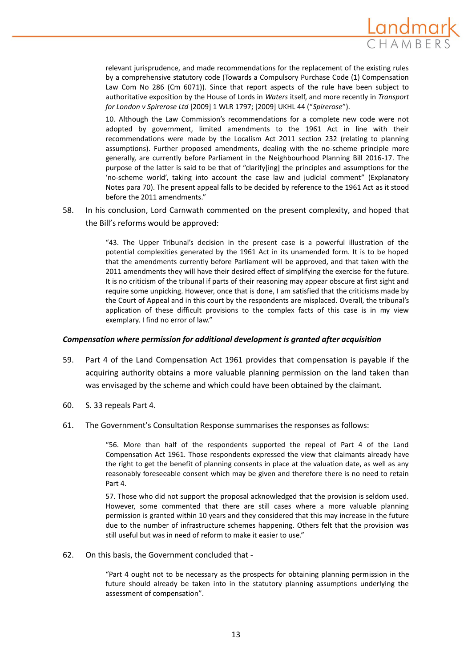

relevant jurisprudence, and made recommendations for the replacement of the existing rules by a comprehensive statutory code (Towards a Compulsory Purchase Code (1) Compensation Law Com No 286 (Cm 6071)). Since that report aspects of the rule have been subject to authoritative exposition by the House of Lords in *Waters* itself, and more recently in *Transport for London v Spirerose Ltd* [2009] 1 WLR 1797; [2009] UKHL 44 ("*Spirerose*").

10. Although the Law Commission's recommendations for a complete new code were not adopted by government, limited amendments to the 1961 Act in line with their recommendations were made by the Localism Act 2011 section 232 (relating to planning assumptions). Further proposed amendments, dealing with the no-scheme principle more generally, are currently before Parliament in the Neighbourhood Planning Bill 2016-17. The purpose of the latter is said to be that of "clarify[ing] the principles and assumptions for the 'no‐scheme world', taking into account the case law and judicial comment" (Explanatory Notes para 70). The present appeal falls to be decided by reference to the 1961 Act as it stood before the 2011 amendments."

58. In his conclusion, Lord Carnwath commented on the present complexity, and hoped that the Bill's reforms would be approved:

> "43. The Upper Tribunal's decision in the present case is a powerful illustration of the potential complexities generated by the 1961 Act in its unamended form. It is to be hoped that the amendments currently before Parliament will be approved, and that taken with the 2011 amendments they will have their desired effect of simplifying the exercise for the future. It is no criticism of the tribunal if parts of their reasoning may appear obscure at first sight and require some unpicking. However, once that is done, I am satisfied that the criticisms made by the Court of Appeal and in this court by the respondents are misplaced. Overall, the tribunal's application of these difficult provisions to the complex facts of this case is in my view exemplary. I find no error of law."

## *Compensation where permission for additional development is granted after acquisition*

- 59. Part 4 of the Land Compensation Act 1961 provides that compensation is payable if the acquiring authority obtains a more valuable planning permission on the land taken than was envisaged by the scheme and which could have been obtained by the claimant.
- 60. S. 33 repeals Part 4.
- 61. The Government's Consultation Response summarises the responses as follows:

"56. More than half of the respondents supported the repeal of Part 4 of the Land Compensation Act 1961. Those respondents expressed the view that claimants already have the right to get the benefit of planning consents in place at the valuation date, as well as any reasonably foreseeable consent which may be given and therefore there is no need to retain Part 4.

57. Those who did not support the proposal acknowledged that the provision is seldom used. However, some commented that there are still cases where a more valuable planning permission is granted within 10 years and they considered that this may increase in the future due to the number of infrastructure schemes happening. Others felt that the provision was still useful but was in need of reform to make it easier to use."

62. On this basis, the Government concluded that -

"Part 4 ought not to be necessary as the prospects for obtaining planning permission in the future should already be taken into in the statutory planning assumptions underlying the assessment of compensation".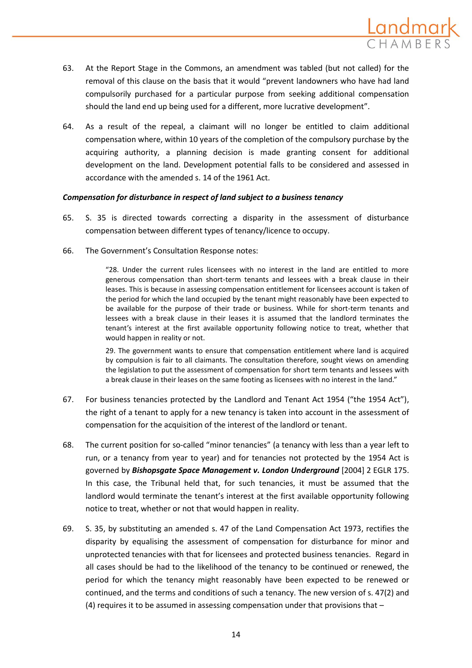

- 63. At the Report Stage in the Commons, an amendment was tabled (but not called) for the removal of this clause on the basis that it would "prevent landowners who have had land compulsorily purchased for a particular purpose from seeking additional compensation should the land end up being used for a different, more lucrative development".
- 64. As a result of the repeal, a claimant will no longer be entitled to claim additional compensation where, within 10 years of the completion of the compulsory purchase by the acquiring authority, a planning decision is made granting consent for additional development on the land. Development potential falls to be considered and assessed in accordance with the amended s. 14 of the 1961 Act.

## *Compensation for disturbance in respect of land subject to a business tenancy*

- 65. S. 35 is directed towards correcting a disparity in the assessment of disturbance compensation between different types of tenancy/licence to occupy.
- 66. The Government's Consultation Response notes:

"28. Under the current rules licensees with no interest in the land are entitled to more generous compensation than short-term tenants and lessees with a break clause in their leases. This is because in assessing compensation entitlement for licensees account is taken of the period for which the land occupied by the tenant might reasonably have been expected to be available for the purpose of their trade or business. While for short-term tenants and lessees with a break clause in their leases it is assumed that the landlord terminates the tenant's interest at the first available opportunity following notice to treat, whether that would happen in reality or not.

29. The government wants to ensure that compensation entitlement where land is acquired by compulsion is fair to all claimants. The consultation therefore, sought views on amending the legislation to put the assessment of compensation for short term tenants and lessees with a break clause in their leases on the same footing as licensees with no interest in the land."

- 67. For business tenancies protected by the Landlord and Tenant Act 1954 ("the 1954 Act"), the right of a tenant to apply for a new tenancy is taken into account in the assessment of compensation for the acquisition of the interest of the landlord or tenant.
- 68. The current position for so-called "minor tenancies" (a tenancy with less than a year left to run, or a tenancy from year to year) and for tenancies not protected by the 1954 Act is governed by *Bishopsgate Space Management v. London Underground* [2004] 2 EGLR 175. In this case, the Tribunal held that, for such tenancies, it must be assumed that the landlord would terminate the tenant's interest at the first available opportunity following notice to treat, whether or not that would happen in reality.
- 69. S. 35, by substituting an amended s. 47 of the Land Compensation Act 1973, rectifies the disparity by equalising the assessment of compensation for disturbance for minor and unprotected tenancies with that for licensees and protected business tenancies. Regard in all cases should be had to the likelihood of the tenancy to be continued or renewed, the period for which the tenancy might reasonably have been expected to be renewed or continued, and the terms and conditions of such a tenancy. The new version of s. 47(2) and (4) requires it to be assumed in assessing compensation under that provisions that  $-$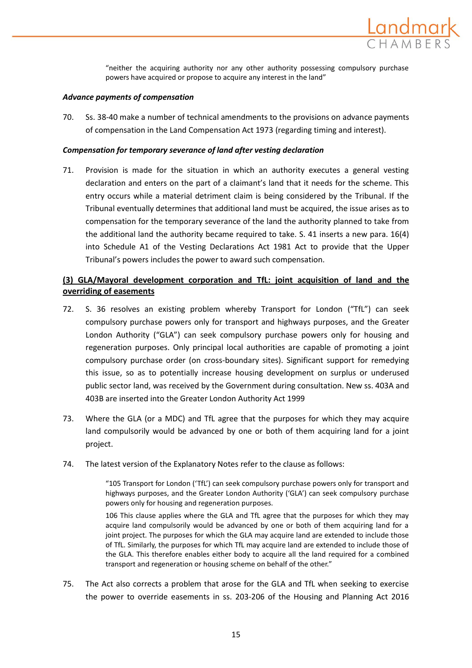

"neither the acquiring authority nor any other authority possessing compulsory purchase powers have acquired or propose to acquire any interest in the land"

## *Advance payments of compensation*

70. Ss. 38-40 make a number of technical amendments to the provisions on advance payments of compensation in the Land Compensation Act 1973 (regarding timing and interest).

## *Compensation for temporary severance of land after vesting declaration*

71. Provision is made for the situation in which an authority executes a general vesting declaration and enters on the part of a claimant's land that it needs for the scheme. This entry occurs while a material detriment claim is being considered by the Tribunal. If the Tribunal eventually determines that additional land must be acquired, the issue arises as to compensation for the temporary severance of the land the authority planned to take from the additional land the authority became required to take. S. 41 inserts a new para. 16(4) into Schedule A1 of the Vesting Declarations Act 1981 Act to provide that the Upper Tribunal's powers includes the power to award such compensation.

# **(3) GLA/Mayoral development corporation and TfL: joint acquisition of land and the overriding of easements**

- 72. S. 36 resolves an existing problem whereby Transport for London ("TfL") can seek compulsory purchase powers only for transport and highways purposes, and the Greater London Authority ("GLA") can seek compulsory purchase powers only for housing and regeneration purposes. Only principal local authorities are capable of promoting a joint compulsory purchase order (on cross-boundary sites). Significant support for remedying this issue, so as to potentially increase housing development on surplus or underused public sector land, was received by the Government during consultation. New ss. 403A and 403B are inserted into the Greater London Authority Act 1999
- 73. Where the GLA (or a MDC) and TfL agree that the purposes for which they may acquire land compulsorily would be advanced by one or both of them acquiring land for a joint project.
- 74. The latest version of the Explanatory Notes refer to the clause as follows:

"105 Transport for London ('TfL') can seek compulsory purchase powers only for transport and highways purposes, and the Greater London Authority ('GLA') can seek compulsory purchase powers only for housing and regeneration purposes.

106 This clause applies where the GLA and TfL agree that the purposes for which they may acquire land compulsorily would be advanced by one or both of them acquiring land for a joint project. The purposes for which the GLA may acquire land are extended to include those of TfL. Similarly, the purposes for which TfL may acquire land are extended to include those of the GLA. This therefore enables either body to acquire all the land required for a combined transport and regeneration or housing scheme on behalf of the other."

75. The Act also corrects a problem that arose for the GLA and TfL when seeking to exercise the power to override easements in ss. 203-206 of the Housing and Planning Act 2016